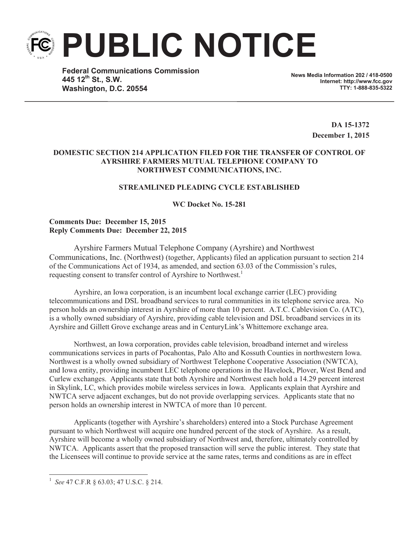**PUBLIC NOTICE**

**Federal Communications Commission 445 12th St., S.W. Washington, D.C. 20554**

**News Media Information 202 / 418-0500 Internet: http://www.fcc.gov TTY: 1-888-835-5322**

> **DA 15-1372 December 1, 2015**

### **DOMESTIC SECTION 214 APPLICATION FILED FOR THE TRANSFER OF CONTROL OF AYRSHIRE FARMERS MUTUAL TELEPHONE COMPANY TO NORTHWEST COMMUNICATIONS, INC.**

# **STREAMLINED PLEADING CYCLE ESTABLISHED**

**WC Docket No. 15-281**

## **Comments Due: December 15, 2015 Reply Comments Due: December 22, 2015**

Ayrshire Farmers Mutual Telephone Company (Ayrshire) and Northwest Communications, Inc. (Northwest) (together, Applicants) filed an application pursuant to section 214 of the Communications Act of 1934, as amended, and section 63.03 of the Commission's rules, requesting consent to transfer control of Ayrshire to Northwest.<sup>1</sup>

Ayrshire, an Iowa corporation, is an incumbent local exchange carrier (LEC) providing telecommunications and DSL broadband services to rural communities in its telephone service area. No person holds an ownership interest in Ayrshire of more than 10 percent. A.T.C. Cablevision Co. (ATC), is a wholly owned subsidiary of Ayrshire, providing cable television and DSL broadband services in its Ayrshire and Gillett Grove exchange areas and in CenturyLink's Whittemore exchange area.

Northwest, an Iowa corporation, provides cable television, broadband internet and wireless communications services in parts of Pocahontas, Palo Alto and Kossuth Counties in northwestern Iowa. Northwest is a wholly owned subsidiary of Northwest Telephone Cooperative Association (NWTCA), and Iowa entity, providing incumbent LEC telephone operations in the Havelock, Plover, West Bend and Curlew exchanges. Applicants state that both Ayrshire and Northwest each hold a 14.29 percent interest in Skylink, LC, which provides mobile wireless services in Iowa. Applicants explain that Ayrshire and NWTCA serve adjacent exchanges, but do not provide overlapping services. Applicants state that no person holds an ownership interest in NWTCA of more than 10 percent.

Applicants (together with Ayrshire's shareholders) entered into a Stock Purchase Agreement pursuant to which Northwest will acquire one hundred percent of the stock of Ayrshire. As a result, Ayrshire will become a wholly owned subsidiary of Northwest and, therefore, ultimately controlled by NWTCA. Applicants assert that the proposed transaction will serve the public interest. They state that the Licensees will continue to provide service at the same rates, terms and conditions as are in effect

<sup>1</sup> *See* 47 C.F.R § 63.03; 47 U.S.C. § 214.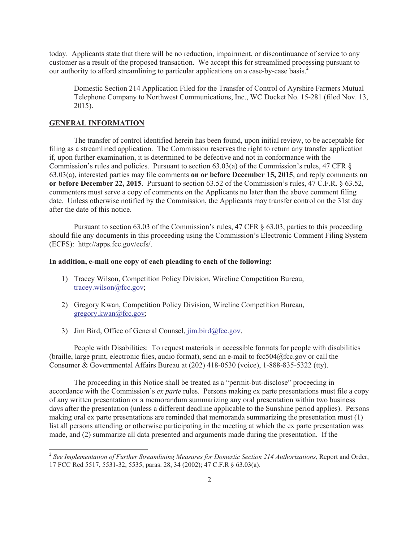today. Applicants state that there will be no reduction, impairment, or discontinuance of service to any customer as a result of the proposed transaction. We accept this for streamlined processing pursuant to our authority to afford streamlining to particular applications on a case-by-case basis.<sup>2</sup>

Domestic Section 214 Application Filed for the Transfer of Control of Ayrshire Farmers Mutual Telephone Company to Northwest Communications, Inc., WC Docket No. 15-281 (filed Nov. 13, 2015).

#### **GENERAL INFORMATION**

The transfer of control identified herein has been found, upon initial review, to be acceptable for filing as a streamlined application. The Commission reserves the right to return any transfer application if, upon further examination, it is determined to be defective and not in conformance with the Commission's rules and policies. Pursuant to section 63.03(a) of the Commission's rules, 47 CFR § 63.03(a), interested parties may file comments **on or before December 15, 2015**, and reply comments **on or before December 22, 2015**. Pursuant to section 63.52 of the Commission's rules, 47 C.F.R. § 63.52, commenters must serve a copy of comments on the Applicants no later than the above comment filing date. Unless otherwise notified by the Commission, the Applicants may transfer control on the 31st day after the date of this notice.

Pursuant to section 63.03 of the Commission's rules, 47 CFR § 63.03, parties to this proceeding should file any documents in this proceeding using the Commission's Electronic Comment Filing System (ECFS): http://apps.fcc.gov/ecfs/.

#### **In addition, e-mail one copy of each pleading to each of the following:**

- 1) Tracey Wilson, Competition Policy Division, Wireline Competition Bureau, tracey.wilson@fcc.gov;
- 2) Gregory Kwan, Competition Policy Division, Wireline Competition Bureau, gregory.kwan@fcc.gov;
- 3) Jim Bird, Office of General Counsel,  $\lim_{h \to 0} \frac{\text{bird}(\partial \text{fcc.gov})}{\text{dot}(\partial \text{fcc.gov})}$ .

People with Disabilities: To request materials in accessible formats for people with disabilities (braille, large print, electronic files, audio format), send an e-mail to fcc504@fcc.gov or call the Consumer & Governmental Affairs Bureau at (202) 418-0530 (voice), 1-888-835-5322 (tty).

The proceeding in this Notice shall be treated as a "permit-but-disclose" proceeding in accordance with the Commission's *ex parte* rules. Persons making ex parte presentations must file a copy of any written presentation or a memorandum summarizing any oral presentation within two business days after the presentation (unless a different deadline applicable to the Sunshine period applies). Persons making oral ex parte presentations are reminded that memoranda summarizing the presentation must (1) list all persons attending or otherwise participating in the meeting at which the ex parte presentation was made, and (2) summarize all data presented and arguments made during the presentation. If the

<sup>2</sup> *See Implementation of Further Streamlining Measures for Domestic Section 214 Authorizations*, Report and Order, 17 FCC Rcd 5517, 5531-32, 5535, paras. 28, 34 (2002); 47 C.F.R § 63.03(a).